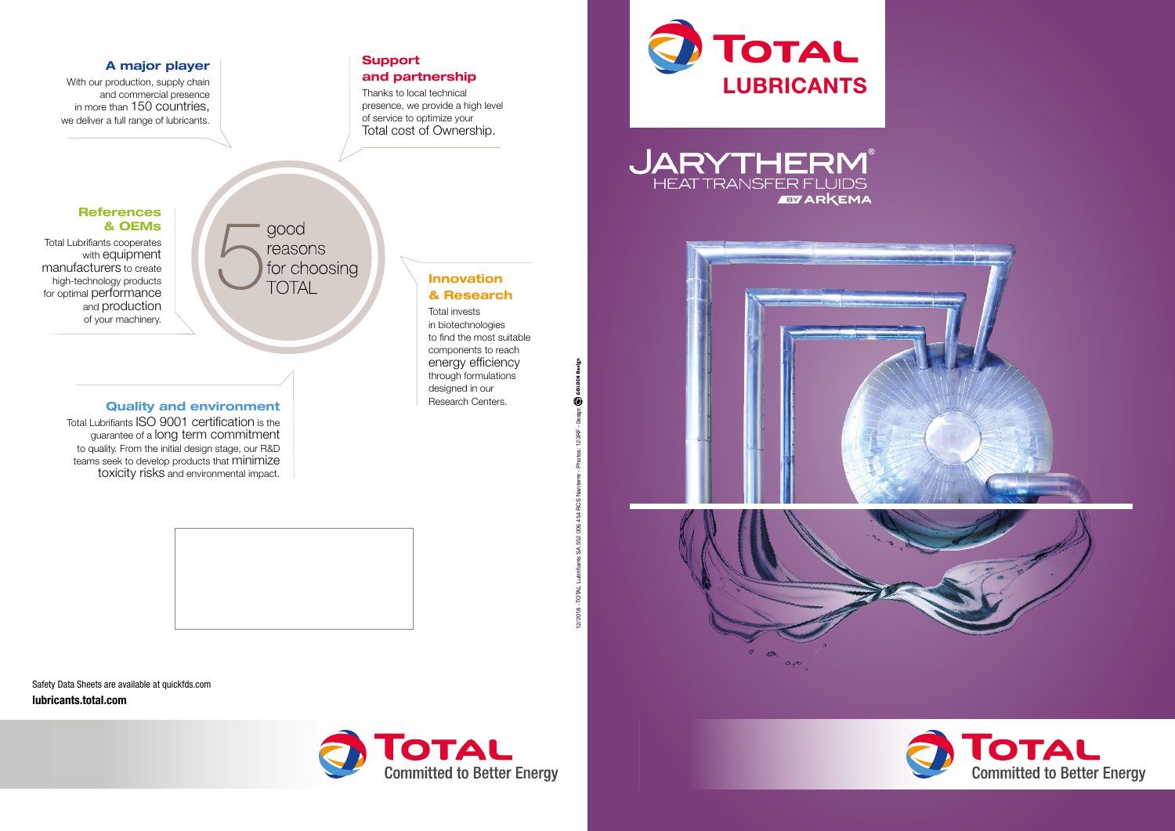

Safety Data Sheets are available at quickfds.com lubricants.total.com



iants SA 552 006 454 RCS

2/2018 - TOTAL